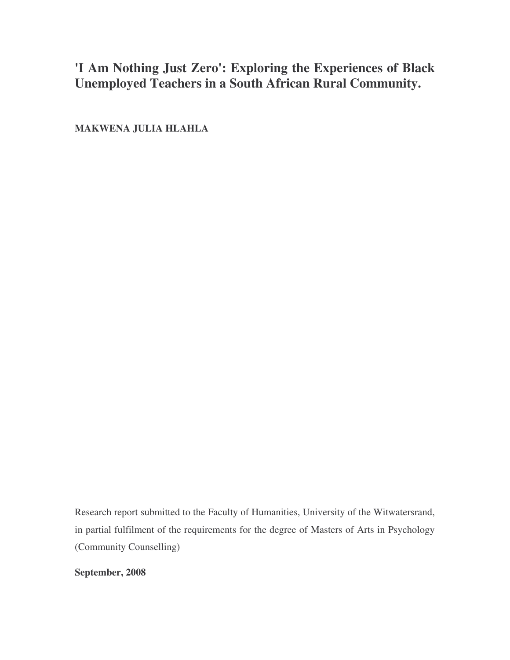# **'I Am Nothing Just Zero': Exploring the Experiences of Black Unemployed Teachers in a South African Rural Community.**

**MAKWENA JULIA HLAHLA**

Research report submitted to the Faculty of Humanities, University of the Witwatersrand, in partial fulfilment of the requirements for the degree of Masters of Arts in Psychology (Community Counselling)

**September, 2008**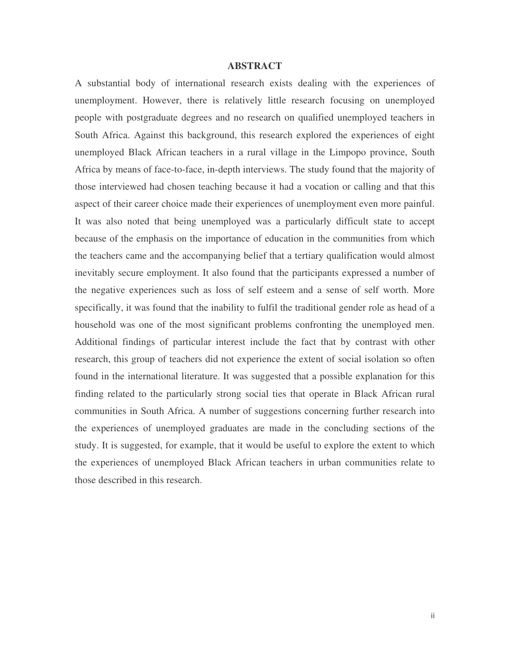### **ABSTRACT**

A substantial body of international research exists dealing with the experiences of unemployment. However, there is relatively little research focusing on unemployed people with postgraduate degrees and no research on qualified unemployed teachers in South Africa. Against this background, this research explored the experiences of eight unemployed Black African teachers in a rural village in the Limpopo province, South Africa by means of face-to-face, in-depth interviews. The study found that the majority of those interviewed had chosen teaching because it had a vocation or calling and that this aspect of their career choice made their experiences of unemployment even more painful. It was also noted that being unemployed was a particularly difficult state to accept because of the emphasis on the importance of education in the communities from which the teachers came and the accompanying belief that a tertiary qualification would almost inevitably secure employment. It also found that the participants expressed a number of the negative experiences such as loss of self esteem and a sense of self worth. More specifically, it was found that the inability to fulfil the traditional gender role as head of a household was one of the most significant problems confronting the unemployed men. Additional findings of particular interest include the fact that by contrast with other research, this group of teachers did not experience the extent of social isolation so often found in the international literature. It was suggested that a possible explanation for this finding related to the particularly strong social ties that operate in Black African rural communities in South Africa. A number of suggestions concerning further research into the experiences of unemployed graduates are made in the concluding sections of the study. It is suggested, for example, that it would be useful to explore the extent to which the experiences of unemployed Black African teachers in urban communities relate to those described in this research.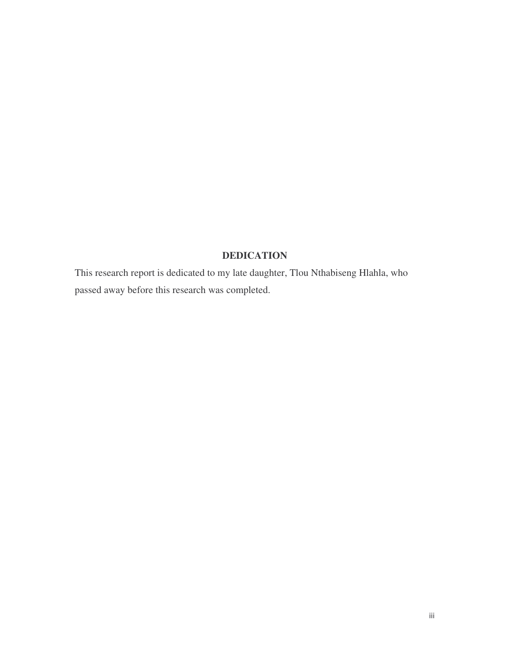## **DEDICATION**

This research report is dedicated to my late daughter, Tlou Nthabiseng Hlahla, who passed away before this research was completed.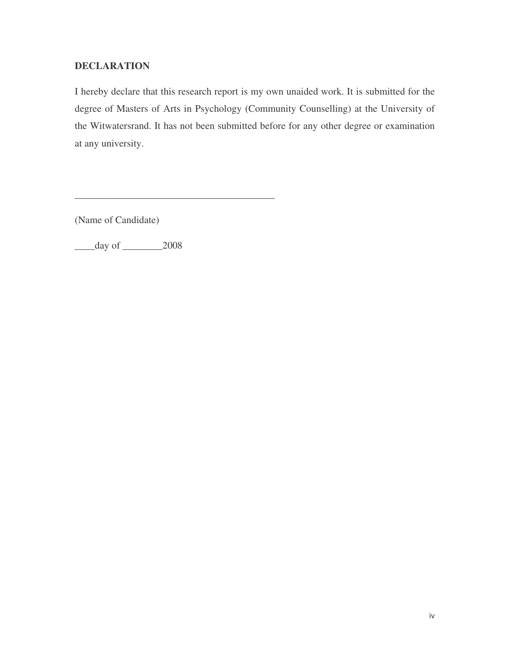**DECLARATION**<br>
Increby declare that this research report is my own unaided work. It is submitted for the<br>
hereby declare of Ants in Psychology (Community Counselling) at the University of<br>
degree of Rasters of Ants in Psyc I hereby declare that this research report is my own unaided work. It is submitted for the degree of Masters of Arts in Psychology (Community Counselling) at the University of the Witwatersrand. It has not been submitted before for any other degree or examination at any university.

(Name of Candidate)

\_\_\_\_day of \_\_\_\_\_\_\_\_2008

\_\_\_\_\_\_\_\_\_\_\_\_\_\_\_\_\_\_\_\_\_\_\_\_\_\_\_\_\_\_\_\_\_\_\_\_\_\_\_\_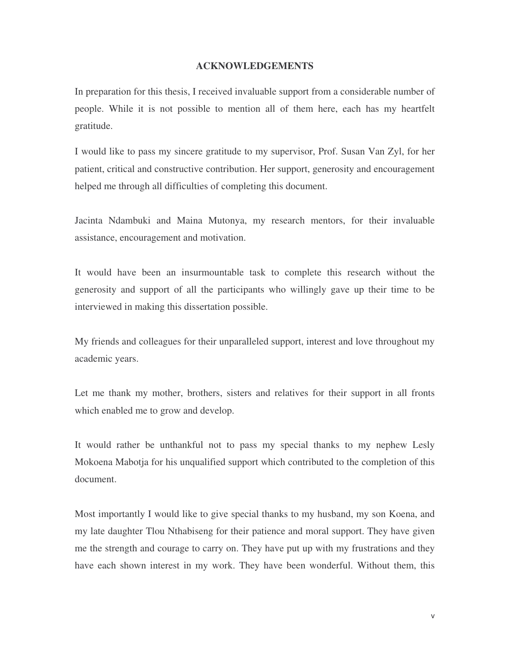In preparation for this thesis, I received invaluable support from a considerable number of people. While it is not possible to mention all of them here, each has my heartfelt gratitude.

I would like to pass my sincere gratitude to my supervisor, Prof. Susan Van Zyl, for her patient, critical and constructive contribution. Her support, generosity and encouragement helped me through all difficulties of completing this document.

Jacinta Ndambuki and Maina Mutonya, my research mentors, for their invaluable assistance, encouragement and motivation.

It would have been an insurmountable task to complete this research without the generosity and support of all the participants who willingly gave up their time to be interviewed in making this dissertation possible.

My friends and colleagues for their unparalleled support, interest and love throughout my academic years.

Let me thank my mother, brothers, sisters and relatives for their support in all fronts which enabled me to grow and develop.

It would rather be unthankful not to pass my special thanks to my nephew Lesly Mokoena Mabotja for his unqualified support which contributed to the completion of this document.

**ACKNOWLEDGEMENTS**<br>received invaluable support from a considerable number of<br>ible to mention all of them here, each has my heartfelt<br>re gratitude to my supervisor, Prof. Susan Van Zyl, for here<br>recontribution. Her support, Most importantly I would like to give special thanks to my husband, my son Koena, and my late daughter Tlou Nthabiseng for their patience and moral support. They have given me the strength and courage to carry on. They have put up with my frustrations and they have each shown interest in my work. They have been wonderful. Without them, this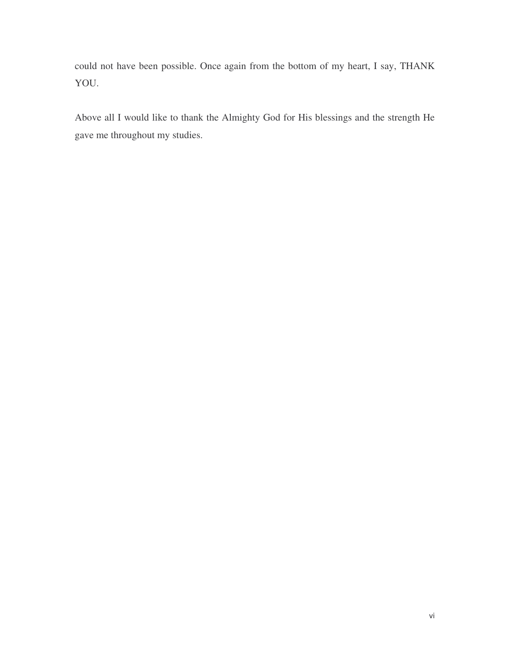could not have been possible. Once again from the bottom of my heart, I say, THANK YOU.

Above all I would like to thank the Almighty God for His blessings and the strength He gave me throughout my studies.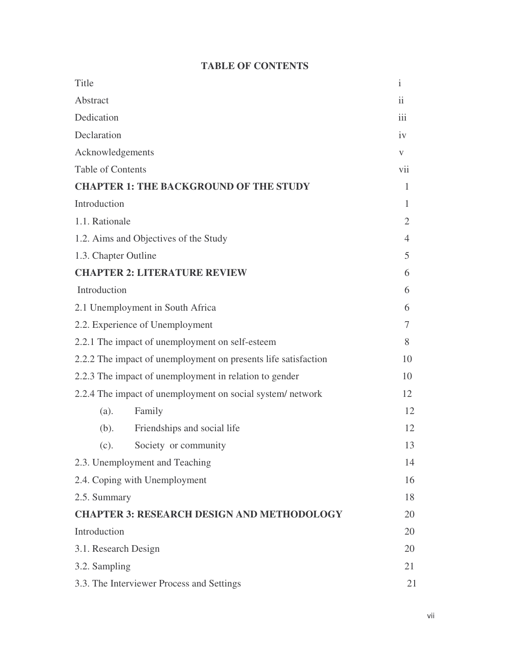## **TABLE OF CONTENTS**

| Title                                                          |                                               | $\mathbf{i}$   |
|----------------------------------------------------------------|-----------------------------------------------|----------------|
| Abstract                                                       |                                               | ii             |
| Dedication                                                     |                                               | iii            |
| Declaration                                                    |                                               | iv             |
| Acknowledgements                                               |                                               | V              |
| <b>Table of Contents</b>                                       |                                               | vii            |
|                                                                | <b>CHAPTER 1: THE BACKGROUND OF THE STUDY</b> | 1              |
| Introduction                                                   |                                               | 1              |
| 1.1. Rationale                                                 |                                               | $\overline{2}$ |
| 1.2. Aims and Objectives of the Study                          |                                               | $\overline{4}$ |
| 1.3. Chapter Outline                                           |                                               | 5              |
| <b>CHAPTER 2: LITERATURE REVIEW</b>                            |                                               | 6              |
| Introduction                                                   |                                               | 6              |
| 2.1 Unemployment in South Africa                               |                                               | 6              |
| 2.2. Experience of Unemployment                                |                                               | 7              |
| 2.2.1 The impact of unemployment on self-esteem                |                                               | 8              |
| 2.2.2 The impact of unemployment on presents life satisfaction |                                               | 10             |
| 2.2.3 The impact of unemployment in relation to gender         |                                               | 10             |
| 2.2.4 The impact of unemployment on social system/network      |                                               | 12             |
| (a).                                                           | Family                                        | 12             |
| (b).                                                           | Friendships and social life                   | 12             |
| (c).                                                           | Society or community                          | 13             |
| 2.3. Unemployment and Teaching                                 |                                               | 14             |
| 2.4. Coping with Unemployment                                  |                                               | 16             |
| 2.5. Summary                                                   |                                               | 18             |
| <b>CHAPTER 3: RESEARCH DESIGN AND METHODOLOGY</b>              |                                               | 20             |
| Introduction                                                   |                                               | 20             |
| 3.1. Research Design                                           |                                               | 20             |
| 3.2. Sampling                                                  |                                               | 21             |
| 3.3. The Interviewer Process and Settings                      |                                               | 21             |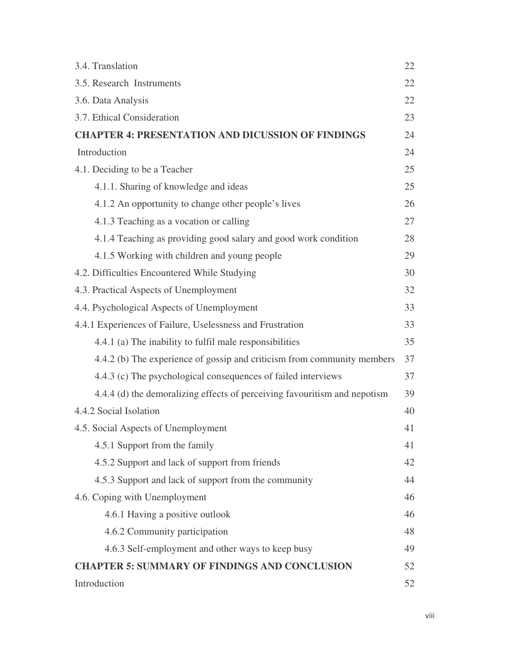| 3.4. Translation                                                          | 22 |  |
|---------------------------------------------------------------------------|----|--|
| 3.5. Research Instruments                                                 | 22 |  |
| 3.6. Data Analysis                                                        |    |  |
| 3.7. Ethical Consideration                                                | 23 |  |
| <b>CHAPTER 4: PRESENTATION AND DICUSSION OF FINDINGS</b>                  | 24 |  |
| Introduction                                                              |    |  |
| 4.1. Deciding to be a Teacher                                             | 25 |  |
| 4.1.1. Sharing of knowledge and ideas                                     | 25 |  |
| 4.1.2 An opportunity to change other people's lives                       | 26 |  |
| 4.1.3 Teaching as a vocation or calling                                   | 27 |  |
| 4.1.4 Teaching as providing good salary and good work condition           | 28 |  |
| 4.1.5 Working with children and young people                              | 29 |  |
| 4.2. Difficulties Encountered While Studying                              | 30 |  |
| 4.3. Practical Aspects of Unemployment                                    | 32 |  |
| 4.4. Psychological Aspects of Unemployment                                |    |  |
| 4.4.1 Experiences of Failure, Uselessness and Frustration                 |    |  |
| 4.4.1 (a) The inability to fulfil male responsibilities                   | 35 |  |
| 4.4.2 (b) The experience of gossip and criticism from community members   | 37 |  |
| 4.4.3 (c) The psychological consequences of failed interviews             | 37 |  |
| 4.4.4 (d) the demoralizing effects of perceiving favouritism and nepotism | 39 |  |
| 4.4.2 Social Isolation                                                    | 40 |  |
| 4.5. Social Aspects of Unemployment                                       | 41 |  |
| 4.5.1 Support from the family                                             | 41 |  |
| 4.5.2 Support and lack of support from friends                            | 42 |  |
| 4.5.3 Support and lack of support from the community                      | 44 |  |
| 4.6. Coping with Unemployment                                             | 46 |  |
| 4.6.1 Having a positive outlook                                           | 46 |  |
| 4.6.2 Community participation                                             | 48 |  |
| 4.6.3 Self-employment and other ways to keep busy                         | 49 |  |
| <b>CHAPTER 5: SUMMARY OF FINDINGS AND CONCLUSION</b>                      |    |  |
| Introduction                                                              |    |  |